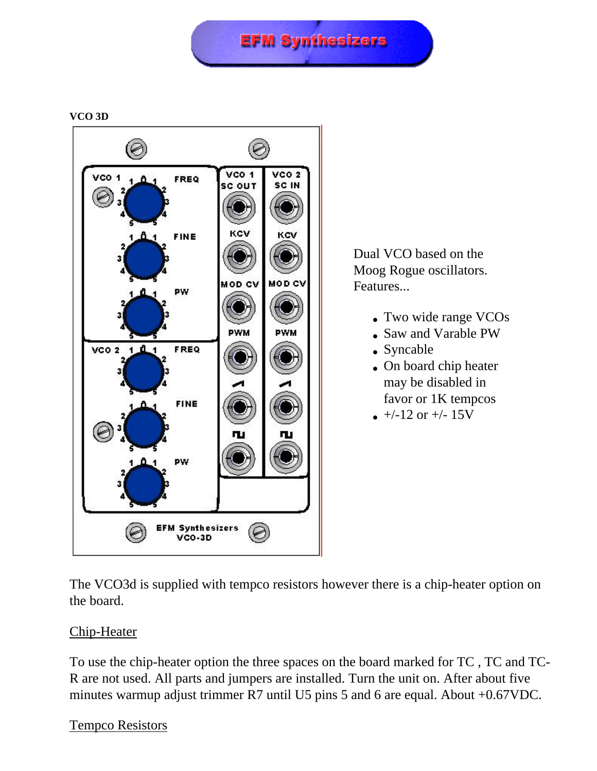## **EFM Synthesizers**





Dual VCO based on the Moog Rogue oscillators. Features...

- Two wide range VCOs
- Saw and Varable PW
- Syncable
- On board chip heater may be disabled in favor or 1K tempcos
- $\bullet$  +/-12 or +/- 15V

The VCO3d is supplied with tempco resistors however there is a chip-heater option on the board.

## Chip-Heater

To use the chip-heater option the three spaces on the board marked for TC , TC and TC-R are not used. All parts and jumpers are installed. Turn the unit on. After about five minutes warmup adjust trimmer R7 until U5 pins 5 and 6 are equal. About +0.67VDC.

## Tempco Resistors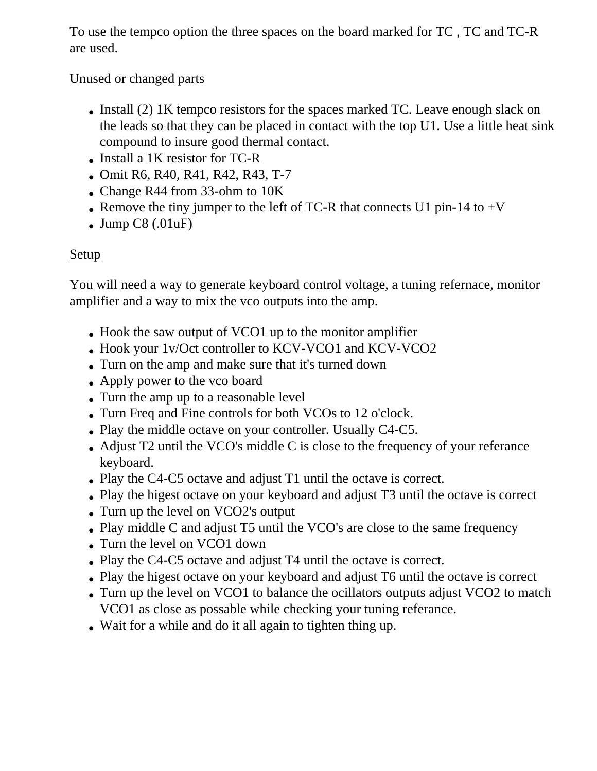To use the tempco option the three spaces on the board marked for TC , TC and TC-R are used.

Unused or changed parts

- Install (2) 1K tempco resistors for the spaces marked TC. Leave enough slack on the leads so that they can be placed in contact with the top U1. Use a little heat sink compound to insure good thermal contact.
- Install a 1K resistor for TC-R
- Omit R6, R40, R41, R42, R43, T-7
- Change R44 from 33-ohm to 10K
- Remove the tiny jumper to the left of TC-R that connects U1 pin-14 to  $+V$
- Jump  $C8$  (.01 $\mu$ F)

## Setup

You will need a way to generate keyboard control voltage, a tuning refernace, monitor amplifier and a way to mix the vco outputs into the amp.

- Hook the saw output of VCO1 up to the monitor amplifier
- Hook your 1v/Oct controller to KCV-VCO1 and KCV-VCO2
- Turn on the amp and make sure that it's turned down
- Apply power to the vco board
- Turn the amp up to a reasonable level
- Turn Freq and Fine controls for both VCOs to 12 o'clock.
- Play the middle octave on your controller. Usually C4-C5.
- Adjust  $T2$  until the VCO's middle C is close to the frequency of your referance keyboard.
- Play the C4-C5 octave and adjust T1 until the octave is correct.
- Play the higest octave on your keyboard and adjust T3 until the octave is correct
- Turn up the level on VCO2's output
- Play middle C and adjust T5 until the VCO's are close to the same frequency
- Turn the level on VCO1 down
- Play the C4-C5 octave and adjust T4 until the octave is correct.
- Play the higest octave on your keyboard and adjust T6 until the octave is correct
- Turn up the level on VCO1 to balance the ocillators outputs adjust VCO2 to match VCO1 as close as possable while checking your tuning referance.
- Wait for a while and do it all again to tighten thing up.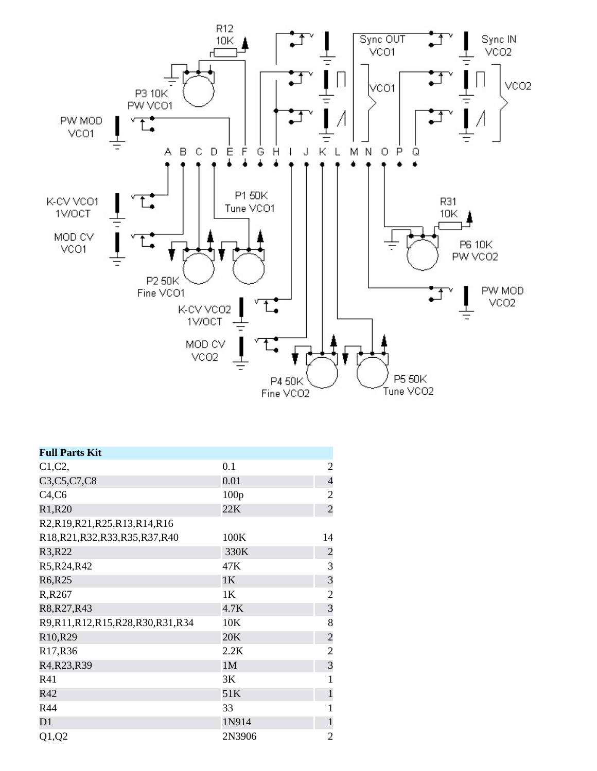

| <b>Full Parts Kit</b>            |                |                         |
|----------------------------------|----------------|-------------------------|
| C1, C2,                          | 0.1            | 2                       |
| C3, C5, C7, C8                   | 0.01           | $\overline{4}$          |
| C4, C6                           | 100p           | $\overline{2}$          |
| R1, R20                          | 22K            | $\overline{c}$          |
| R2,R19,R21,R25,R13,R14,R16       |                |                         |
| R18,R21,R32,R33,R35,R37,R40      | 100K           | 14                      |
| R3, R22                          | 330K           | $\overline{\mathbf{c}}$ |
| R5, R24, R42                     | 47K            | 3                       |
| R6,R25                           | 1K             | 3                       |
| R, R267                          | 1K             | $\overline{2}$          |
| R8, R27, R43                     | 4.7K           | 3                       |
| R9,R11,R12,R15,R28,R30,R31,R34   | 10K            | 8                       |
| R <sub>10</sub> ,R <sub>29</sub> | 20K            | $\overline{c}$          |
| R17, R36                         | 2.2K           | $\overline{2}$          |
| R4, R23, R39                     | 1 <sub>M</sub> | $\overline{3}$          |
| R41                              | 3K             | 1                       |
| R42                              | 51K            | $\mathbf{1}$            |
| R44                              | 33             | 1                       |
| D1                               | 1N914          | $\mathbf{1}$            |
| Q1,Q2                            | 2N3906         | $\overline{2}$          |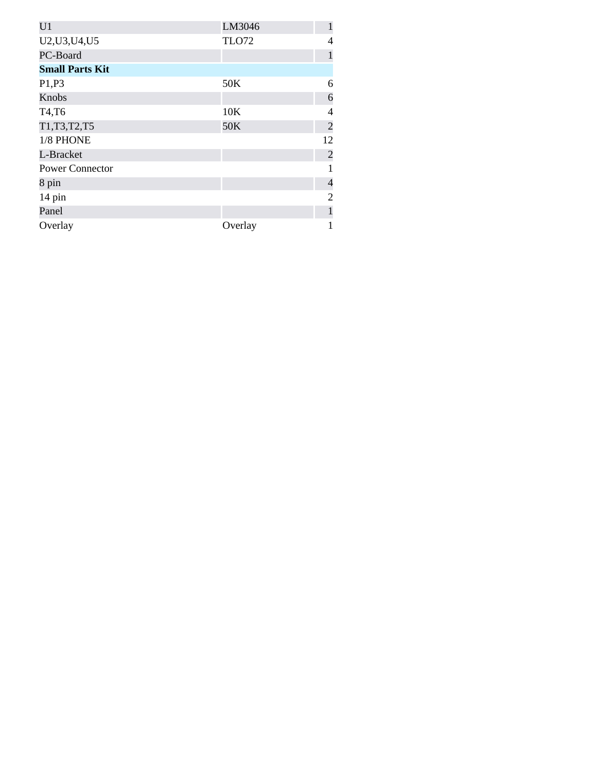| U <sub>1</sub>         | LM3046       |                |
|------------------------|--------------|----------------|
| U2, U3, U4, U5         | <b>TLO72</b> | 4              |
| PC-Board               |              |                |
| <b>Small Parts Kit</b> |              |                |
| P1,P3                  | 50K          | 6              |
| Knobs                  |              | 6              |
| T4,T6                  | 10K          | 4              |
| T1, T3, T2, T5         | 50K          | $\overline{2}$ |
| 1/8 PHONE              |              | 12             |
| L-Bracket              |              | $\overline{2}$ |
| <b>Power Connector</b> |              |                |
| 8 pin                  |              | $\overline{4}$ |
| 14 pin                 |              | 2              |
| Panel                  |              |                |
| Overlay                | Overlay      |                |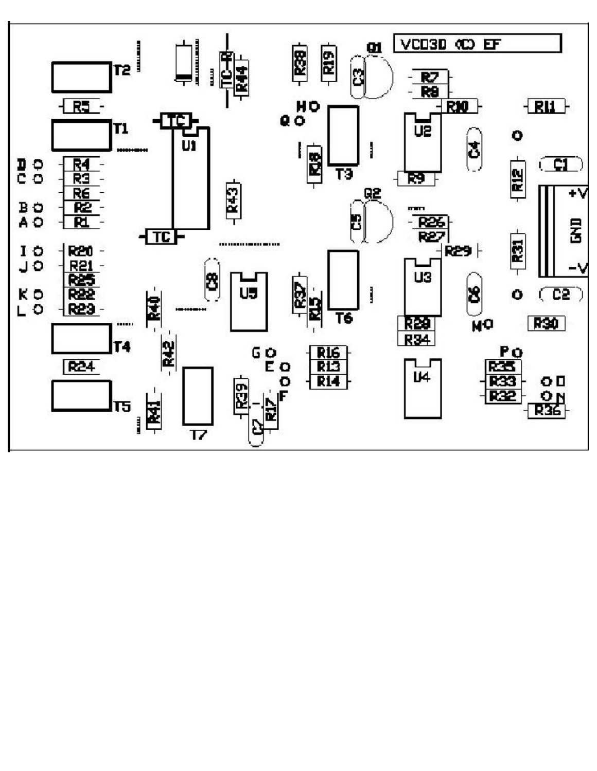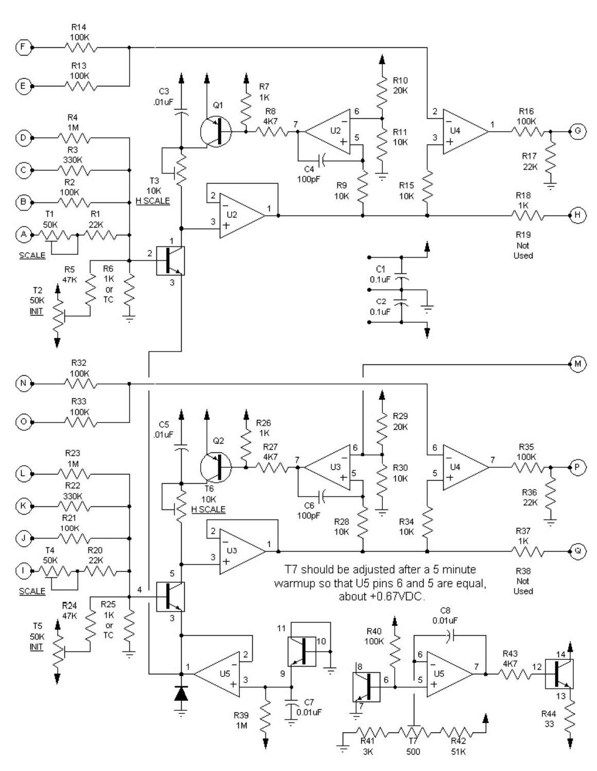